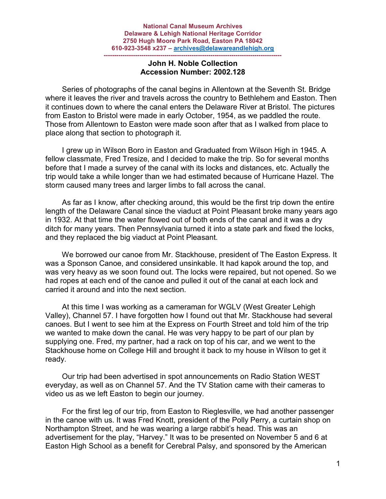## **------------------------------------------------------------------------------------- John H. Noble Collection Accession Number: 2002.128**

 Series of photographs of the canal begins in Allentown at the Seventh St. Bridge where it leaves the river and travels across the country to Bethlehem and Easton. Then it continues down to where the canal enters the Delaware River at Bristol. The pictures from Easton to Bristol were made in early October, 1954, as we paddled the route. Those from Allentown to Easton were made soon after that as I walked from place to place along that section to photograph it.

 I grew up in Wilson Boro in Easton and Graduated from Wilson High in 1945. A fellow classmate, Fred Tresize, and I decided to make the trip. So for several months before that I made a survey of the canal with its locks and distances, etc. Actually the trip would take a while longer than we had estimated because of Hurricane Hazel. The storm caused many trees and larger limbs to fall across the canal.

 As far as I know, after checking around, this would be the first trip down the entire length of the Delaware Canal since the viaduct at Point Pleasant broke many years ago in 1932. At that time the water flowed out of both ends of the canal and it was a dry ditch for many years. Then Pennsylvania turned it into a state park and fixed the locks, and they replaced the big viaduct at Point Pleasant.

 We borrowed our canoe from Mr. Stackhouse, president of The Easton Express. It was a Sponson Canoe, and considered unsinkable. It had kapok around the top, and was very heavy as we soon found out. The locks were repaired, but not opened. So we had ropes at each end of the canoe and pulled it out of the canal at each lock and carried it around and into the next section.

 At this time I was working as a cameraman for WGLV (West Greater Lehigh Valley), Channel 57. I have forgotten how I found out that Mr. Stackhouse had several canoes. But I went to see him at the Express on Fourth Street and told him of the trip we wanted to make down the canal. He was very happy to be part of our plan by supplying one. Fred, my partner, had a rack on top of his car, and we went to the Stackhouse home on College Hill and brought it back to my house in Wilson to get it ready.

 Our trip had been advertised in spot announcements on Radio Station WEST everyday, as well as on Channel 57. And the TV Station came with their cameras to video us as we left Easton to begin our journey.

 For the first leg of our trip, from Easton to Rieglesville, we had another passenger in the canoe with us. It was Fred Knott, president of the Polly Perry, a curtain shop on Northampton Street, and he was wearing a large rabbit's head. This was an advertisement for the play, "Harvey." It was to be presented on November 5 and 6 at Easton High School as a benefit for Cerebral Palsy, and sponsored by the American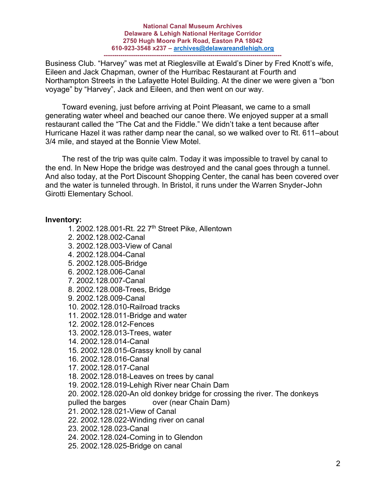### **National Canal Museum Archives Delaware & Lehigh National Heritage Corridor 2750 Hugh Moore Park Road, Easton PA 18042 610-923-3548 x237 – [archives@delawareandlehigh.org](mailto:archives@delawareandlehigh.org) -------------------------------------------------------------------------------------**

Business Club. "Harvey" was met at Rieglesville at Ewald's Diner by Fred Knott's wife, Eileen and Jack Chapman, owner of the Hurribac Restaurant at Fourth and Northampton Streets in the Lafayette Hotel Building. At the diner we were given a "bon voyage" by "Harvey", Jack and Eileen, and then went on our way.

 Toward evening, just before arriving at Point Pleasant, we came to a small generating water wheel and beached our canoe there. We enjoyed supper at a small restaurant called the "The Cat and the Fiddle." We didn't take a tent because after Hurricane Hazel it was rather damp near the canal, so we walked over to Rt. 611–about 3/4 mile, and stayed at the Bonnie View Motel.

 The rest of the trip was quite calm. Today it was impossible to travel by canal to the end. In New Hope the bridge was destroyed and the canal goes through a tunnel. And also today, at the Port Discount Shopping Center, the canal has been covered over and the water is tunneled through. In Bristol, it runs under the Warren Snyder-John Girotti Elementary School.

# **Inventory:**

- 1. 2002.128.001-Rt. 22 7th Street Pike, Allentown
- 2. 2002.128.002-Canal
- 3. 2002.128.003-View of Canal
- 4. 2002.128.004-Canal
- 5. 2002.128.005-Bridge
- 6. 2002.128.006-Canal
- 7. 2002.128.007-Canal
- 8. 2002.128.008-Trees, Bridge
- 9. 2002.128.009-Canal
- 10. 2002.128.010-Railroad tracks
- 11. 2002.128.011-Bridge and water
- 12. 2002.128.012-Fences
- 13. 2002.128.013-Trees, water
- 14. 2002.128.014-Canal
- 15. 2002.128.015-Grassy knoll by canal
- 16. 2002.128.016-Canal
- 17. 2002.128.017-Canal
- 18. 2002.128.018-Leaves on trees by canal
- 19. 2002.128.019-Lehigh River near Chain Dam
- 20. 2002.128.020-An old donkey bridge for crossing the river. The donkeys
- pulled the barges over (near Chain Dam)
- 21. 2002.128.021-View of Canal
- 22. 2002.128.022-Winding river on canal
- 23. 2002.128.023-Canal
- 24. 2002.128.024-Coming in to Glendon
- 25. 2002.128.025-Bridge on canal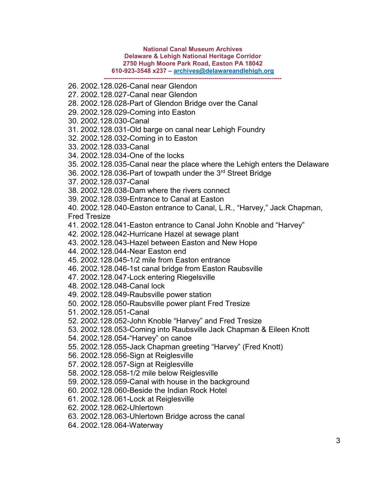### **National Canal Museum Archives Delaware & Lehigh National Heritage Corridor 2750 Hugh Moore Park Road, Easton PA 18042 610-923-3548 x237 – [archives@delawareandlehigh.org](mailto:archives@delawareandlehigh.org) -------------------------------------------------------------------------------------**

- 26. 2002.128.026-Canal near Glendon
- 27. 2002.128.027-Canal near Glendon
- 28. 2002.128.028-Part of Glendon Bridge over the Canal
- 29. 2002.128.029-Coming into Easton
- 30. 2002.128.030-Canal
- 31. 2002.128.031-Old barge on canal near Lehigh Foundry
- 32. 2002.128.032-Coming in to Easton
- 33. 2002.128.033-Canal
- 34. 2002.128.034-One of the locks
- 35. 2002.128.035-Canal near the place where the Lehigh enters the Delaware
- 36. 2002.128.036-Part of towpath under the 3rd Street Bridge
- 37. 2002.128.037-Canal
- 38. 2002.128.038-Dam where the rivers connect
- 39. 2002.128.039-Entrance to Canal at Easton

40. 2002.128.040-Easton entrance to Canal, L.R., "Harvey," Jack Chapman, Fred Tresize

- 41. 2002.128.041-Easton entrance to Canal John Knoble and "Harvey"
- 42. 2002.128.042-Hurricane Hazel at sewage plant
- 43. 2002.128.043-Hazel between Easton and New Hope
- 44. 2002.128.044-Near Easton end
- 45. 2002.128.045-1/2 mile from Easton entrance
- 46. 2002.128.046-1st canal bridge from Easton Raubsville
- 47. 2002.128.047-Lock entering Riegelsville
- 48. 2002.128.048-Canal lock
- 49. 2002.128.049-Raubsville power station
- 50. 2002.128.050-Raubsville power plant Fred Tresize
- 51. 2002.128.051-Canal
- 52. 2002.128.052-John Knoble "Harvey" and Fred Tresize
- 53. 2002.128.053-Coming into Raubsville Jack Chapman & Eileen Knott
- 54. 2002.128.054-"Harvey" on canoe
- 55. 2002.128.055-Jack Chapman greeting "Harvey" (Fred Knott)
- 56. 2002.128.056-Sign at Reiglesville
- 57. 2002.128.057-Sign at Reiglesville
- 58. 2002.128.058-1/2 mile below Reiglesville
- 59. 2002.128.059-Canal with house in the background
- 60. 2002.128.060-Beside the Indian Rock Hotel
- 61. 2002.128.061-Lock at Reiglesville
- 62. 2002.128.062-Uhlertown
- 63. 2002.128.063-Uhlertown Bridge across the canal
- 64. 2002.128.064-Waterway